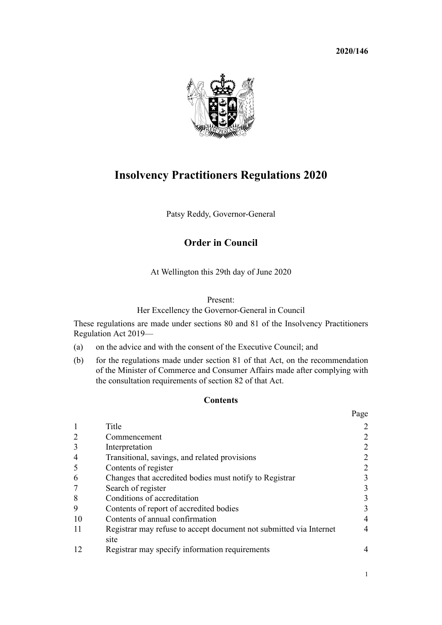**2020/146**



# **Insolvency Practitioners Regulations 2020**

Patsy Reddy, Governor-General

## **Order in Council**

At Wellington this 29th day of June 2020

#### Present:

## Her Excellency the Governor-General in Council

These regulations are made under [sections 80](http://legislation.govt.nz/pdflink.aspx?id=LMS205686) and [81](http://legislation.govt.nz/pdflink.aspx?id=LMS205687) of the [Insolvency Practitioners](http://legislation.govt.nz/pdflink.aspx?id=LMS205513) [Regulation Act 2019](http://legislation.govt.nz/pdflink.aspx?id=LMS205513)—

- (a) on the advice and with the consent of the Executive Council; and
- (b) for the regulations made under [section 81](http://legislation.govt.nz/pdflink.aspx?id=LMS205687) of that Act, on the recommendation of the Minister of Commerce and Consumer Affairs made after complying with the consultation requirements of [section 82](http://legislation.govt.nz/pdflink.aspx?id=LMS205688) of that Act.

#### **Contents**

|    |                                                                            | Page           |
|----|----------------------------------------------------------------------------|----------------|
|    | Title                                                                      | 2              |
|    | Commencement                                                               | 2              |
|    | Interpretation                                                             | 2              |
| 4  | Transitional, savings, and related provisions                              | $\overline{2}$ |
|    | Contents of register                                                       | 2              |
| 6  | Changes that accredited bodies must notify to Registrar                    | 3              |
|    | Search of register                                                         | 3              |
| 8  | Conditions of accreditation                                                | 3              |
| 9  | Contents of report of accredited bodies                                    | 3              |
| 10 | Contents of annual confirmation                                            | $\overline{4}$ |
| 11 | Registrar may refuse to accept document not submitted via Internet<br>site | $\overline{4}$ |
|    | Registrar may specify information requirements                             | 4              |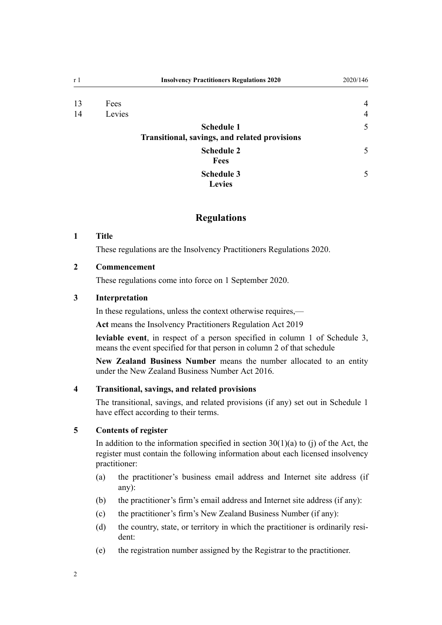<span id="page-1-0"></span>

| r 1 |        | <b>Insolvency Practitioners Regulations 2020</b>                   | 2020/146       |
|-----|--------|--------------------------------------------------------------------|----------------|
| 13  | Fees   |                                                                    | $\overline{4}$ |
| 14  | Levies |                                                                    | $\overline{4}$ |
|     |        | <b>Schedule 1</b><br>Transitional, savings, and related provisions | 5              |
|     |        | <b>Schedule 2</b><br><b>Fees</b>                                   | 5              |
|     |        | <b>Schedule 3</b><br><b>Levies</b>                                 | 5              |

## **Regulations**

### **1 Title**

These regulations are the Insolvency Practitioners Regulations 2020.

### **2 Commencement**

These regulations come into force on 1 September 2020.

### **3 Interpretation**

In these regulations, unless the context otherwise requires,—

**Act** means the [Insolvency Practitioners Regulation Act 2019](http://legislation.govt.nz/pdflink.aspx?id=LMS205513)

**leviable event**, in respect of a person specified in column 1 of [Schedule 3](#page-4-0), means the event specified for that person in column 2 of that schedule

**New Zealand Business Number** means the number allocated to an entity under the [New Zealand Business Number Act 2016.](http://legislation.govt.nz/pdflink.aspx?id=DLM6431501)

#### **4 Transitional, savings, and related provisions**

The transitional, savings, and related provisions (if any) set out in [Schedule 1](#page-4-0) have effect according to their terms.

#### **5 Contents of register**

In addition to the information specified in section  $30(1)(a)$  to (j) of the Act, the register must contain the following information about each licensed insolvency practitioner:

- (a) the practitioner's business email address and Internet site address (if any):
- (b) the practitioner's firm's email address and Internet site address (if any):
- (c) the practitioner's firm's New Zealand Business Number (if any):
- (d) the country, state, or territory in which the practitioner is ordinarily resident:
- (e) the registration number assigned by the Registrar to the practitioner.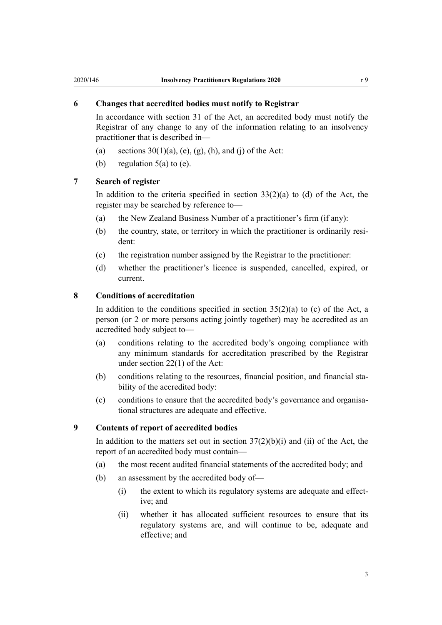#### <span id="page-2-0"></span>**6 Changes that accredited bodies must notify to Registrar**

In accordance with [section 31](http://legislation.govt.nz/pdflink.aspx?id=LMS205612) of the Act, an accredited body must notify the Registrar of any change to any of the information relating to an insolvency practitioner that is described in—

- (a) sections  $30(1)(a)$ , (e), (g), (h), and (j) of the Act:
- (b) regulation  $5(a)$  to (e).

#### **7 Search of register**

In addition to the criteria specified in section  $33(2)(a)$  to (d) of the Act, the register may be searched by reference to—

- (a) the New Zealand Business Number of a practitioner's firm (if any):
- (b) the country, state, or territory in which the practitioner is ordinarily resident:
- (c) the registration number assigned by the Registrar to the practitioner:
- (d) whether the practitioner's licence is suspended, cancelled, expired, or current.

#### **8 Conditions of accreditation**

In addition to the conditions specified in section  $35(2)(a)$  to (c) of the Act, a person (or 2 or more persons acting jointly together) may be accredited as an accredited body subject to—

- (a) conditions relating to the accredited body's ongoing compliance with any minimum standards for accreditation prescribed by the Registrar under [section 22\(1\)](http://legislation.govt.nz/pdflink.aspx?id=LMS205601) of the Act:
- (b) conditions relating to the resources, financial position, and financial stability of the accredited body:
- (c) conditions to ensure that the accredited body's governance and organisational structures are adequate and effective.

## **9 Contents of report of accredited bodies**

In addition to the matters set out in section  $37(2)(b)(i)$  and (ii) of the Act, the report of an accredited body must contain—

- (a) the most recent audited financial statements of the accredited body; and
- (b) an assessment by the accredited body of—
	- (i) the extent to which its regulatory systems are adequate and effective; and
	- (ii) whether it has allocated sufficient resources to ensure that its regulatory systems are, and will continue to be, adequate and effective; and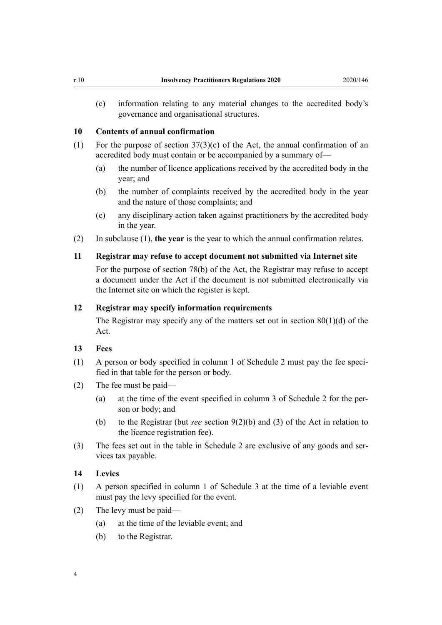<span id="page-3-0"></span>(c) information relating to any material changes to the accredited body's governance and organisational structures.

#### **10 Contents of annual confirmation**

- (1) For the purpose of [section 37\(3\)\(c\)](http://legislation.govt.nz/pdflink.aspx?id=LMS205619) of the Act, the annual confirmation of an accredited body must contain or be accompanied by a summary of—
	- (a) the number of licence applications received by the accredited body in the year; and
	- (b) the number of complaints received by the accredited body in the year and the nature of those complaints; and
	- (c) any disciplinary action taken against practitioners by the accredited body in the year.
- (2) In subclause (1), **the year** is the year to which the annual confirmation relates.

#### **11 Registrar may refuse to accept document not submitted via Internet site**

For the purpose of [section 78\(b\)](http://legislation.govt.nz/pdflink.aspx?id=LMS205683) of the Act, the Registrar may refuse to accept a document under the Act if the document is not submitted electronically via the Internet site on which the register is kept.

#### **12 Registrar may specify information requirements**

The Registrar may specify any of the matters set out in section  $80(1)(d)$  of the Act.

#### **13 Fees**

- (1) A person or body specified in column 1 of [Schedule 2](#page-4-0) must pay the fee specified in that table for the person or body.
- (2) The fee must be paid—
	- (a) at the time of the event specified in column 3 of [Schedule 2](#page-4-0) for the person or body; and
	- (b) to the Registrar (but *see* [section 9\(2\)\(b\) and \(3\)](http://legislation.govt.nz/pdflink.aspx?id=LMS205578) of the Act in relation to the licence registration fee).
- (3) The fees set out in the table in [Schedule 2](#page-4-0) are exclusive of any goods and services tax payable.

#### **14 Levies**

- (1) A person specified in column 1 of [Schedule 3](#page-4-0) at the time of a leviable event must pay the levy specified for the event.
- (2) The levy must be paid—
	- (a) at the time of the leviable event; and
	- (b) to the Registrar.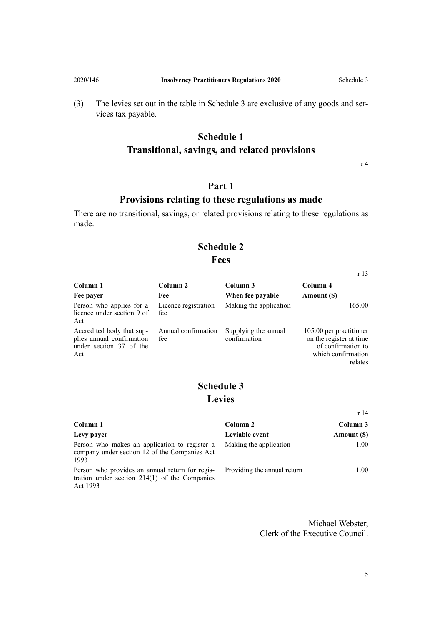<span id="page-4-0"></span>(3) The levies set out in the table in Schedule 3 are exclusive of any goods and services tax payable.

# **Schedule 1 Transitional, savings, and related provisions**

[r 4](#page-1-0)

[r 13](#page-3-0)

[r 14](#page-3-0)

# **Part 1**

## **Provisions relating to these regulations as made**

There are no transitional, savings, or related provisions relating to these regulations as made.

# **Schedule 2 Fees**

| Column 1                                                                                 | Column 2                    | Column 3                             | Column 4                                                                                                   |
|------------------------------------------------------------------------------------------|-----------------------------|--------------------------------------|------------------------------------------------------------------------------------------------------------|
| Fee payer                                                                                | Fee                         | When fee payable                     | Amount (\$)                                                                                                |
| Person who applies for a<br>licence under section 9 of<br>Act                            | Licence registration<br>fee | Making the application               | 165.00                                                                                                     |
| Accredited body that sup-<br>plies annual confirmation<br>under section 37 of the<br>Act | Annual confirmation<br>fee  | Supplying the annual<br>confirmation | 105.00 per practitioner<br>on the register at time.<br>of confirmation to<br>which confirmation<br>relates |

# **Schedule 3 Levies**

| Column 1                                                                                                       | Column 2                    | Column 3    |  |
|----------------------------------------------------------------------------------------------------------------|-----------------------------|-------------|--|
| Levy payer                                                                                                     | Leviable event              | Amount (\$) |  |
| Person who makes an application to register a<br>company under section 12 of the Companies Act<br>1993         | Making the application      | 1.00        |  |
| Person who provides an annual return for regis-<br>tration under section $214(1)$ of the Companies<br>Act 1993 | Providing the annual return | 1.00        |  |

Michael Webster, Clerk of the Executive Council.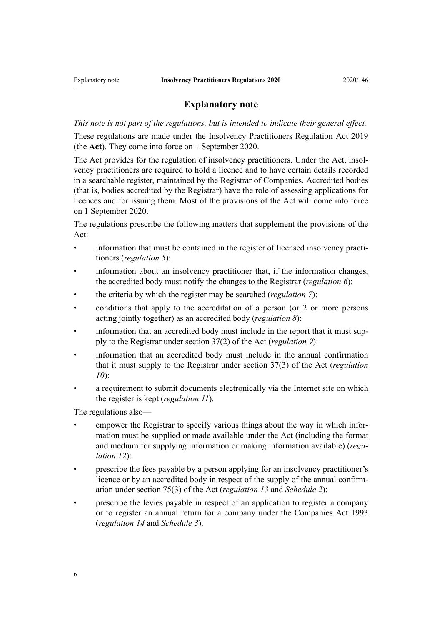### **Explanatory note**

*This note is not part of the regulations, but is intended to indicate their general effect.*

These regulations are made under the [Insolvency Practitioners Regulation Act 2019](http://legislation.govt.nz/pdflink.aspx?id=LMS205513) (the **Act**). They come into force on 1 September 2020.

The Act provides for the regulation of insolvency practitioners. Under the Act, insolvency practitioners are required to hold a licence and to have certain details recorded in a searchable register, maintained by the Registrar of Companies. Accredited bodies (that is, bodies accredited by the Registrar) have the role of assessing applications for licences and for issuing them. Most of the provisions of the Act will come into force on 1 September 2020.

The regulations prescribe the following matters that supplement the provisions of the Act:

- information that must be contained in the register of licensed insolvency practitioners (*[regulation 5](#page-1-0)*):
- information about an insolvency practitioner that, if the information changes, the accredited body must notify the changes to the Registrar (*[regulation 6](#page-2-0)*):
- the criteria by which the register may be searched (*[regulation 7](#page-2-0)*):
- conditions that apply to the accreditation of a person (or 2 or more persons acting jointly together) as an accredited body (*[regulation 8](#page-2-0)*):
- information that an accredited body must include in the report that it must supply to the Registrar under [section 37\(2\)](http://legislation.govt.nz/pdflink.aspx?id=LMS205619) of the Act (*[regulation 9](#page-2-0)*):
- information that an accredited body must include in the annual confirmation that it must supply to the Registrar under [section 37\(3\)](http://legislation.govt.nz/pdflink.aspx?id=LMS205619) of the Act (*[regulation](#page-3-0) [10](#page-3-0)*):
- a requirement to submit documents electronically via the Internet site on which the register is kept (*[regulation 11](#page-3-0)*).

The regulations also—

- empower the Registrar to specify various things about the way in which information must be supplied or made available under the Act (including the format and medium for supplying information or making information available) (*[regu](#page-3-0)[lation 12](#page-3-0)*):
- prescribe the fees payable by a person applying for an insolvency practitioner's licence or by an accredited body in respect of the supply of the annual confirmation under [section 75\(3\)](http://legislation.govt.nz/pdflink.aspx?id=LMS205679) of the Act (*[regulation 13](#page-3-0)* and *[Schedule 2](#page-4-0)*):
- prescribe the levies payable in respect of an application to register a company or to register an annual return for a company under the [Companies Act 1993](http://legislation.govt.nz/pdflink.aspx?id=DLM319569) (*[regulation 14](#page-3-0)* and *[Schedule 3](#page-4-0)*).